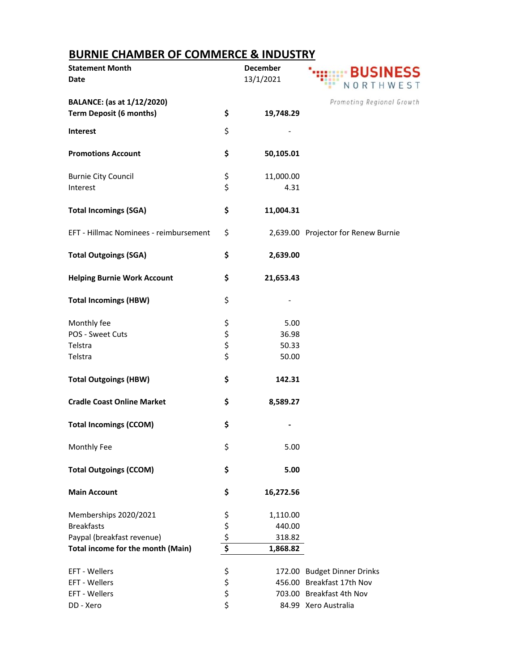## **BURNIE CHAMBER OF COMMERCE & INDUSTRY**

| <b>Statement Month</b><br><b>Date</b>                               |          | <b>December</b><br>13/1/2021 | <b>SINESS</b><br>NORTHWEST          |
|---------------------------------------------------------------------|----------|------------------------------|-------------------------------------|
| <b>BALANCE:</b> (as at 1/12/2020)<br><b>Term Deposit (6 months)</b> | \$       | 19,748.29                    | Promoting Regional Growth           |
| <b>Interest</b>                                                     | \$       |                              |                                     |
| <b>Promotions Account</b>                                           | \$       | 50,105.01                    |                                     |
| <b>Burnie City Council</b>                                          | \$       | 11,000.00                    |                                     |
| Interest                                                            | \$       | 4.31                         |                                     |
| <b>Total Incomings (SGA)</b>                                        | \$       | 11,004.31                    |                                     |
| EFT - Hillmac Nominees - reimbursement                              | \$       |                              | 2,639.00 Projector for Renew Burnie |
| <b>Total Outgoings (SGA)</b>                                        | \$       | 2,639.00                     |                                     |
| <b>Helping Burnie Work Account</b>                                  | \$       | 21,653.43                    |                                     |
| <b>Total Incomings (HBW)</b>                                        | \$       |                              |                                     |
| Monthly fee                                                         | \$       | 5.00                         |                                     |
| POS - Sweet Cuts                                                    |          | 36.98                        |                                     |
| Telstra                                                             | \$\$\$   | 50.33                        |                                     |
| Telstra                                                             |          | 50.00                        |                                     |
| <b>Total Outgoings (HBW)</b>                                        | \$       | 142.31                       |                                     |
| <b>Cradle Coast Online Market</b>                                   | \$       | 8,589.27                     |                                     |
| <b>Total Incomings (CCOM)</b>                                       | \$       |                              |                                     |
| Monthly Fee                                                         | \$       | 5.00                         |                                     |
| <b>Total Outgoings (CCOM)</b>                                       | \$       | 5.00                         |                                     |
| <b>Main Account</b>                                                 | \$       | 16,272.56                    |                                     |
| Memberships 2020/2021                                               | \$       | 1,110.00                     |                                     |
| <b>Breakfasts</b>                                                   | \$       | 440.00                       |                                     |
| Paypal (breakfast revenue)                                          | \$       | 318.82                       |                                     |
| Total income for the month (Main)                                   | \$       | 1,868.82                     |                                     |
| EFT - Wellers                                                       | \$       |                              | 172.00 Budget Dinner Drinks         |
| EFT - Wellers                                                       |          |                              | 456.00 Breakfast 17th Nov           |
| EFT - Wellers                                                       | \$<br>\$ |                              | 703.00 Breakfast 4th Nov            |
| DD - Xero                                                           | \$       |                              | 84.99 Xero Australia                |